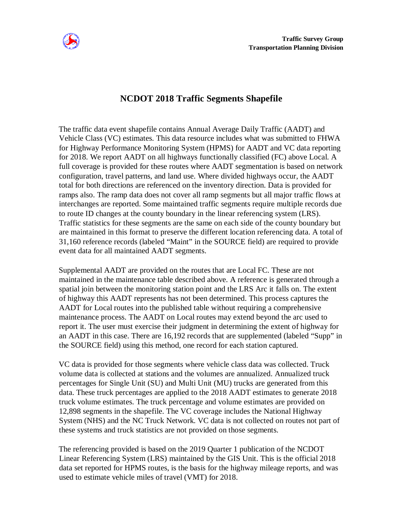

## **NCDOT 2018 Traffic Segments Shapefile**

The traffic data event shapefile contains Annual Average Daily Traffic (AADT) and Vehicle Class (VC) estimates. This data resource includes what was submitted to FHWA for Highway Performance Monitoring System (HPMS) for AADT and VC data reporting for 2018. We report AADT on all highways functionally classified (FC) above Local. A full coverage is provided for these routes where AADT segmentation is based on network configuration, travel patterns, and land use. Where divided highways occur, the AADT total for both directions are referenced on the inventory direction. Data is provided for ramps also. The ramp data does not cover all ramp segments but all major traffic flows at interchanges are reported. Some maintained traffic segments require multiple records due to route ID changes at the county boundary in the linear referencing system (LRS). Traffic statistics for these segments are the same on each side of the county boundary but are maintained in this format to preserve the different location referencing data. A total of 31,160 reference records (labeled "Maint" in the SOURCE field) are required to provide event data for all maintained AADT segments.

Supplemental AADT are provided on the routes that are Local FC. These are not maintained in the maintenance table described above. A reference is generated through a spatial join between the monitoring station point and the LRS Arc it falls on. The extent of highway this AADT represents has not been determined. This process captures the AADT for Local routes into the published table without requiring a comprehensive maintenance process. The AADT on Local routes may extend beyond the arc used to report it. The user must exercise their judgment in determining the extent of highway for an AADT in this case. There are 16,192 records that are supplemented (labeled "Supp" in the SOURCE field) using this method, one record for each station captured.

VC data is provided for those segments where vehicle class data was collected. Truck volume data is collected at stations and the volumes are annualized. Annualized truck percentages for Single Unit (SU) and Multi Unit (MU) trucks are generated from this data. These truck percentages are applied to the 2018 AADT estimates to generate 2018 truck volume estimates. The truck percentage and volume estimates are provided on 12,898 segments in the shapefile. The VC coverage includes the National Highway System (NHS) and the NC Truck Network. VC data is not collected on routes not part of these systems and truck statistics are not provided on those segments.

The referencing provided is based on the 2019 Quarter 1 publication of the NCDOT Linear Referencing System (LRS) maintained by the GIS Unit. This is the official 2018 data set reported for HPMS routes, is the basis for the highway mileage reports, and was used to estimate vehicle miles of travel (VMT) for 2018.